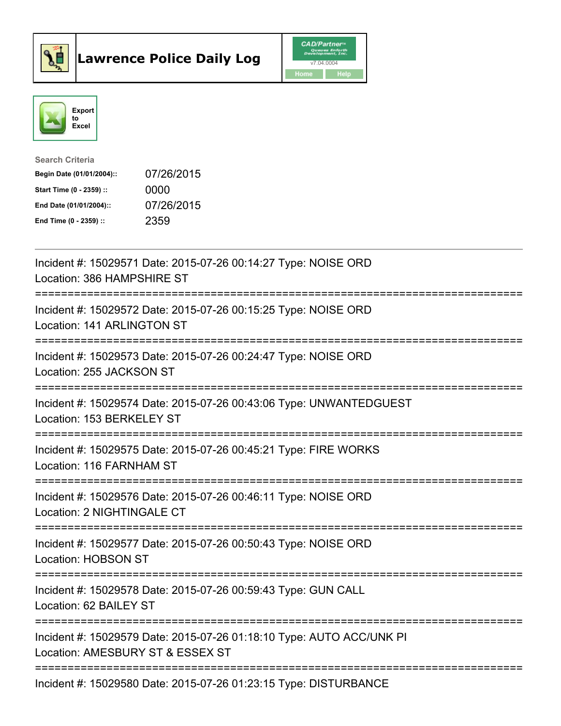



| <b>Search Criteria</b>    |            |
|---------------------------|------------|
| Begin Date (01/01/2004):: | 07/26/2015 |
| Start Time (0 - 2359) ::  | 0000       |
| End Date (01/01/2004)::   | 07/26/2015 |
| End Time $(0 - 2359)$ :   | 2359       |

| Incident #: 15029571 Date: 2015-07-26 00:14:27 Type: NOISE ORD<br>Location: 386 HAMPSHIRE ST                        |
|---------------------------------------------------------------------------------------------------------------------|
| Incident #: 15029572 Date: 2015-07-26 00:15:25 Type: NOISE ORD<br>Location: 141 ARLINGTON ST                        |
| Incident #: 15029573 Date: 2015-07-26 00:24:47 Type: NOISE ORD<br>Location: 255 JACKSON ST<br>-------------------   |
| Incident #: 15029574 Date: 2015-07-26 00:43:06 Type: UNWANTEDGUEST<br>Location: 153 BERKELEY ST<br>================ |
| Incident #: 15029575 Date: 2015-07-26 00:45:21 Type: FIRE WORKS<br>Location: 116 FARNHAM ST                         |
| Incident #: 15029576 Date: 2015-07-26 00:46:11 Type: NOISE ORD<br>Location: 2 NIGHTINGALE CT                        |
| Incident #: 15029577 Date: 2015-07-26 00:50:43 Type: NOISE ORD<br>Location: HOBSON ST<br>========================   |
| Incident #: 15029578 Date: 2015-07-26 00:59:43 Type: GUN CALL<br>Location: 62 BAILEY ST                             |
| Incident #: 15029579 Date: 2015-07-26 01:18:10 Type: AUTO ACC/UNK PI<br>Location: AMESBURY ST & ESSEX ST            |
| Incident #: 15029580 Date: 2015-07-26 01:23:15 Type: DISTURBANCE                                                    |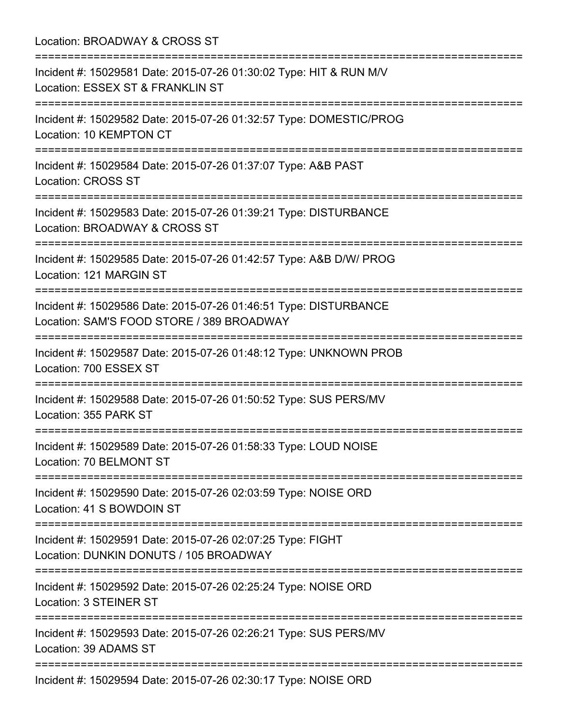| Location: BROADWAY & CROSS ST<br>:===========================                                                                   |
|---------------------------------------------------------------------------------------------------------------------------------|
| Incident #: 15029581 Date: 2015-07-26 01:30:02 Type: HIT & RUN M/V<br>Location: ESSEX ST & FRANKLIN ST                          |
| Incident #: 15029582 Date: 2015-07-26 01:32:57 Type: DOMESTIC/PROG<br>Location: 10 KEMPTON CT                                   |
| Incident #: 15029584 Date: 2015-07-26 01:37:07 Type: A&B PAST<br><b>Location: CROSS ST</b>                                      |
| Incident #: 15029583 Date: 2015-07-26 01:39:21 Type: DISTURBANCE<br>Location: BROADWAY & CROSS ST                               |
| :=============================<br>Incident #: 15029585 Date: 2015-07-26 01:42:57 Type: A&B D/W/ PROG<br>Location: 121 MARGIN ST |
| Incident #: 15029586 Date: 2015-07-26 01:46:51 Type: DISTURBANCE<br>Location: SAM'S FOOD STORE / 389 BROADWAY                   |
| =====================<br>Incident #: 15029587 Date: 2015-07-26 01:48:12 Type: UNKNOWN PROB<br>Location: 700 ESSEX ST            |
| ==========================<br>Incident #: 15029588 Date: 2015-07-26 01:50:52 Type: SUS PERS/MV<br>Location: 355 PARK ST         |
| Incident #: 15029589 Date: 2015-07-26 01:58:33 Type: LOUD NOISE<br>Location: 70 BELMONT ST                                      |
| Incident #: 15029590 Date: 2015-07-26 02:03:59 Type: NOISE ORD<br>Location: 41 S BOWDOIN ST                                     |
| Incident #: 15029591 Date: 2015-07-26 02:07:25 Type: FIGHT<br>Location: DUNKIN DONUTS / 105 BROADWAY                            |
| Incident #: 15029592 Date: 2015-07-26 02:25:24 Type: NOISE ORD<br>Location: 3 STEINER ST                                        |
| Incident #: 15029593 Date: 2015-07-26 02:26:21 Type: SUS PERS/MV<br>Location: 39 ADAMS ST                                       |
| Incident #: 15029594 Date: 2015-07-26 02:30:17 Type: NOISE ORD                                                                  |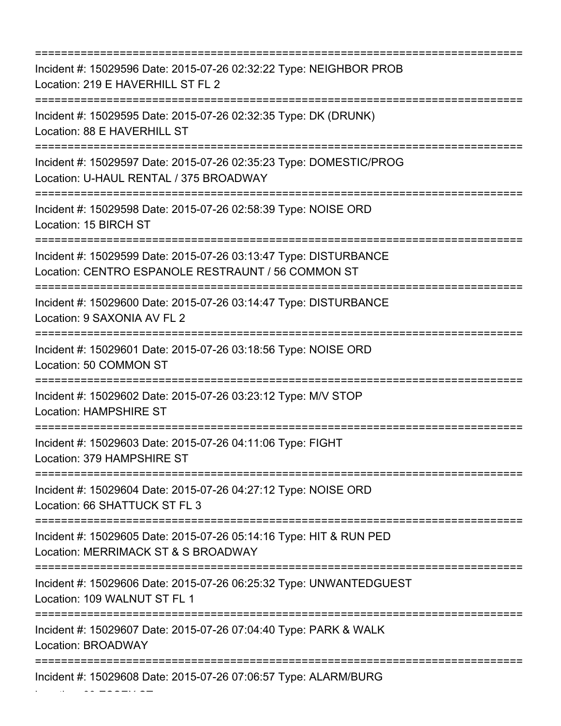=========================================================================== Incident #: 15029596 Date: 2015-07-26 02:32:22 Type: NEIGHBOR PROB Location: 219 E HAVERHILL ST FL 2 =========================================================================== Incident #: 15029595 Date: 2015-07-26 02:32:35 Type: DK (DRUNK) Location: 88 E HAVERHILL ST =========================================================================== Incident #: 15029597 Date: 2015-07-26 02:35:23 Type: DOMESTIC/PROG Location: U-HAUL RENTAL / 375 BROADWAY =========================================================================== Incident #: 15029598 Date: 2015-07-26 02:58:39 Type: NOISE ORD Location: 15 BIRCH ST =========================================================================== Incident #: 15029599 Date: 2015-07-26 03:13:47 Type: DISTURBANCE Location: CENTRO ESPANOLE RESTRAUNT / 56 COMMON ST =========================================================================== Incident #: 15029600 Date: 2015-07-26 03:14:47 Type: DISTURBANCE Location: 9 SAXONIA AV FL 2 =========================================================================== Incident #: 15029601 Date: 2015-07-26 03:18:56 Type: NOISE ORD Location: 50 COMMON ST =========================================================================== Incident #: 15029602 Date: 2015-07-26 03:23:12 Type: M/V STOP Location: HAMPSHIRE ST =========================================================================== Incident #: 15029603 Date: 2015-07-26 04:11:06 Type: FIGHT Location: 379 HAMPSHIRE ST =========================================================================== Incident #: 15029604 Date: 2015-07-26 04:27:12 Type: NOISE ORD Location: 66 SHATTUCK ST FL 3 =========================================================================== Incident #: 15029605 Date: 2015-07-26 05:14:16 Type: HIT & RUN PED Location: MERRIMACK ST & S BROADWAY =========================================================================== Incident #: 15029606 Date: 2015-07-26 06:25:32 Type: UNWANTEDGUEST Location: 109 WALNUT ST FL 1 =========================================================================== Incident #: 15029607 Date: 2015-07-26 07:04:40 Type: PARK & WALK Location: BROADWAY =========================================================================== Incident #: 15029608 Date: 2015-07-26 07:06:57 Type: ALARM/BURG

Location: 99 ESSEX ST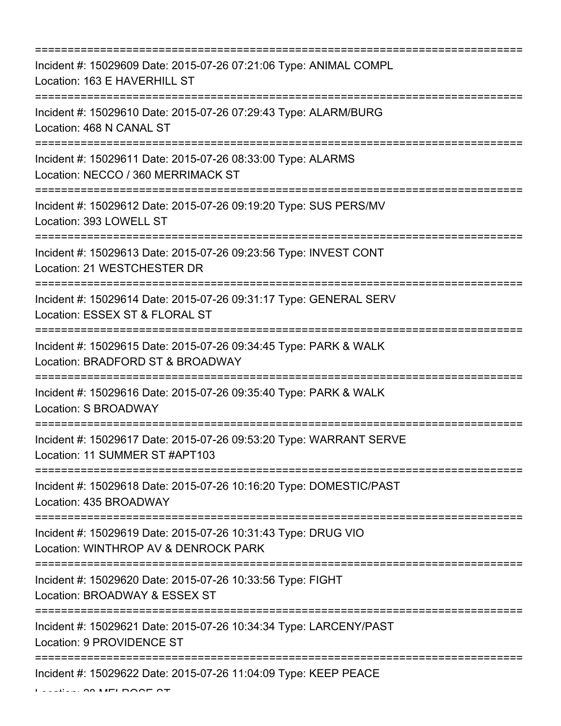=========================================================================== Incident #: 15029609 Date: 2015-07-26 07:21:06 Type: ANIMAL COMPL Location: 163 E HAVERHILL ST =========================================================================== Incident #: 15029610 Date: 2015-07-26 07:29:43 Type: ALARM/BURG Location: 468 N CANAL ST =========================================================================== Incident #: 15029611 Date: 2015-07-26 08:33:00 Type: ALARMS Location: NECCO / 360 MERRIMACK ST =========================================================================== Incident #: 15029612 Date: 2015-07-26 09:19:20 Type: SUS PERS/MV Location: 393 LOWELL ST =========================================================================== Incident #: 15029613 Date: 2015-07-26 09:23:56 Type: INVEST CONT Location: 21 WESTCHESTER DR =========================================================================== Incident #: 15029614 Date: 2015-07-26 09:31:17 Type: GENERAL SERV Location: ESSEX ST & FLORAL ST =========================================================================== Incident #: 15029615 Date: 2015-07-26 09:34:45 Type: PARK & WALK Location: BRADFORD ST & BROADWAY =========================================================================== Incident #: 15029616 Date: 2015-07-26 09:35:40 Type: PARK & WALK Location: S BROADWAY =========================================================================== Incident #: 15029617 Date: 2015-07-26 09:53:20 Type: WARRANT SERVE Location: 11 SUMMER ST #APT103 =========================================================================== Incident #: 15029618 Date: 2015-07-26 10:16:20 Type: DOMESTIC/PAST Location: 435 BROADWAY =========================================================================== Incident #: 15029619 Date: 2015-07-26 10:31:43 Type: DRUG VIO Location: WINTHROP AV & DENROCK PARK =========================================================================== Incident #: 15029620 Date: 2015-07-26 10:33:56 Type: FIGHT Location: BROADWAY & ESSEX ST =========================================================================== Incident #: 15029621 Date: 2015-07-26 10:34:34 Type: LARCENY/PAST Location: 9 PROVIDENCE ST =========================================================================== Incident #: 15029622 Date: 2015-07-26 11:04:09 Type: KEEP PEACE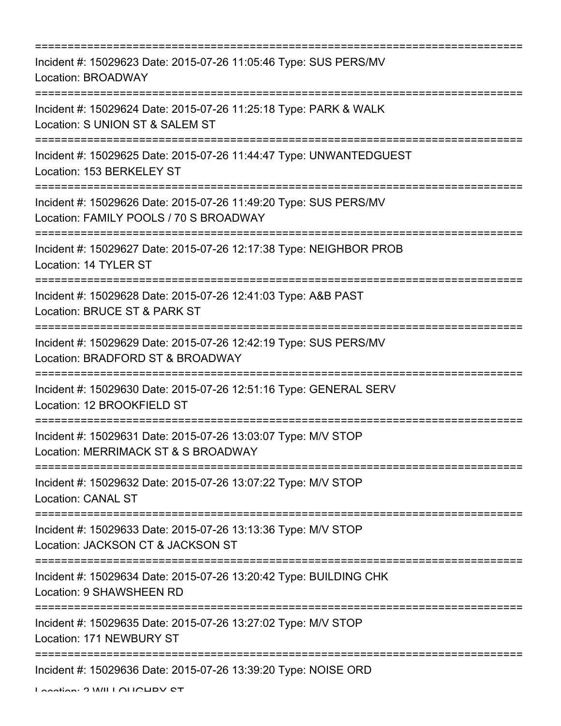| Incident #: 15029623 Date: 2015-07-26 11:05:46 Type: SUS PERS/MV<br>Location: BROADWAY                                                    |
|-------------------------------------------------------------------------------------------------------------------------------------------|
| Incident #: 15029624 Date: 2015-07-26 11:25:18 Type: PARK & WALK<br>Location: S UNION ST & SALEM ST                                       |
| Incident #: 15029625 Date: 2015-07-26 11:44:47 Type: UNWANTEDGUEST<br>Location: 153 BERKELEY ST                                           |
| Incident #: 15029626 Date: 2015-07-26 11:49:20 Type: SUS PERS/MV<br>Location: FAMILY POOLS / 70 S BROADWAY<br>:========================== |
| Incident #: 15029627 Date: 2015-07-26 12:17:38 Type: NEIGHBOR PROB<br>Location: 14 TYLER ST                                               |
| Incident #: 15029628 Date: 2015-07-26 12:41:03 Type: A&B PAST<br>Location: BRUCE ST & PARK ST<br>:====================================    |
| Incident #: 15029629 Date: 2015-07-26 12:42:19 Type: SUS PERS/MV<br>Location: BRADFORD ST & BROADWAY                                      |
| Incident #: 15029630 Date: 2015-07-26 12:51:16 Type: GENERAL SERV<br>Location: 12 BROOKFIELD ST                                           |
| Incident #: 15029631 Date: 2015-07-26 13:03:07 Type: M/V STOP<br>Location: MERRIMACK ST & S BROADWAY                                      |
| Incident #: 15029632 Date: 2015-07-26 13:07:22 Type: M/V STOP<br><b>Location: CANAL ST</b>                                                |
| Incident #: 15029633 Date: 2015-07-26 13:13:36 Type: M/V STOP<br>Location: JACKSON CT & JACKSON ST                                        |
| Incident #: 15029634 Date: 2015-07-26 13:20:42 Type: BUILDING CHK<br>Location: 9 SHAWSHEEN RD                                             |
| --------------------<br>Incident #: 15029635 Date: 2015-07-26 13:27:02 Type: M/V STOP<br>Location: 171 NEWBURY ST                         |
| Incident #: 15029636 Date: 2015-07-26 13:39:20 Type: NOISE ORD                                                                            |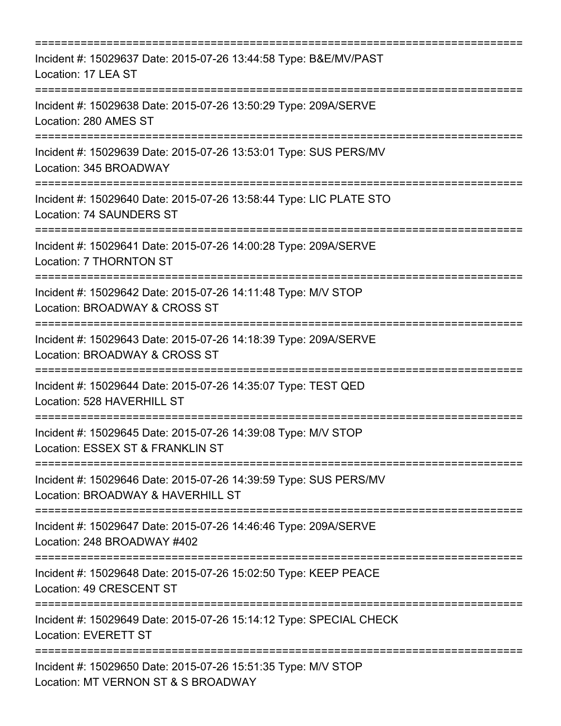| Incident #: 15029637 Date: 2015-07-26 13:44:58 Type: B&E/MV/PAST<br>Location: 17 LEA ST                                       |
|-------------------------------------------------------------------------------------------------------------------------------|
| Incident #: 15029638 Date: 2015-07-26 13:50:29 Type: 209A/SERVE<br>Location: 280 AMES ST<br>================================= |
| Incident #: 15029639 Date: 2015-07-26 13:53:01 Type: SUS PERS/MV<br>Location: 345 BROADWAY                                    |
| Incident #: 15029640 Date: 2015-07-26 13:58:44 Type: LIC PLATE STO<br><b>Location: 74 SAUNDERS ST</b>                         |
| Incident #: 15029641 Date: 2015-07-26 14:00:28 Type: 209A/SERVE<br>Location: 7 THORNTON ST                                    |
| Incident #: 15029642 Date: 2015-07-26 14:11:48 Type: M/V STOP<br>Location: BROADWAY & CROSS ST                                |
| Incident #: 15029643 Date: 2015-07-26 14:18:39 Type: 209A/SERVE<br>Location: BROADWAY & CROSS ST                              |
| Incident #: 15029644 Date: 2015-07-26 14:35:07 Type: TEST QED<br>Location: 528 HAVERHILL ST                                   |
| Incident #: 15029645 Date: 2015-07-26 14:39:08 Type: M/V STOP<br>Location: ESSEX ST & FRANKLIN ST                             |
| Incident #: 15029646 Date: 2015-07-26 14:39:59 Type: SUS PERS/MV<br>Location: BROADWAY & HAVERHILL ST                         |
| Incident #: 15029647 Date: 2015-07-26 14:46:46 Type: 209A/SERVE<br>Location: 248 BROADWAY #402                                |
| Incident #: 15029648 Date: 2015-07-26 15:02:50 Type: KEEP PEACE<br>Location: 49 CRESCENT ST                                   |
| :=============================<br>Incident #: 15029649 Date: 2015-07-26 15:14:12 Type: SPECIAL CHECK<br>Location: EVERETT ST  |
| Incident #: 15029650 Date: 2015-07-26 15:51:35 Type: M/V STOP<br>Location: MT VERNON ST & S BROADWAY                          |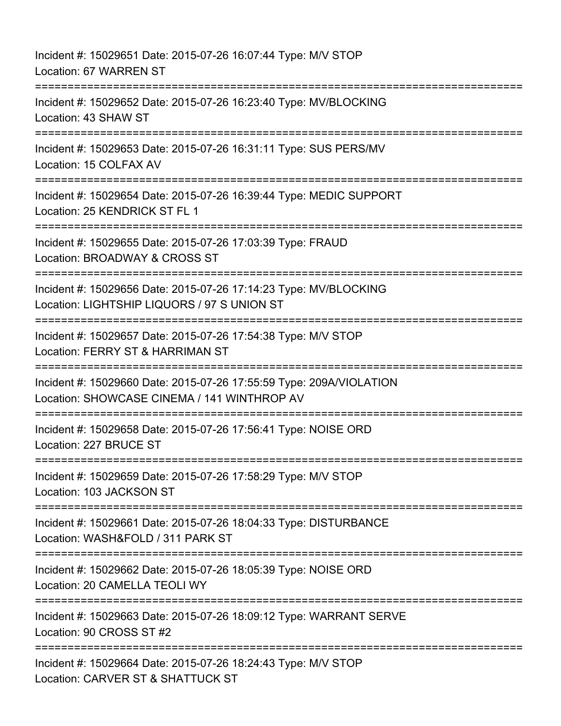Incident #: 15029651 Date: 2015-07-26 16:07:44 Type: M/V STOP Location: 67 WARREN ST =========================================================================== Incident #: 15029652 Date: 2015-07-26 16:23:40 Type: MV/BLOCKING Location: 43 SHAW ST =========================================================================== Incident #: 15029653 Date: 2015-07-26 16:31:11 Type: SUS PERS/MV Location: 15 COLFAX AV =========================================================================== Incident #: 15029654 Date: 2015-07-26 16:39:44 Type: MEDIC SUPPORT Location: 25 KENDRICK ST FL 1 =========================================================================== Incident #: 15029655 Date: 2015-07-26 17:03:39 Type: FRAUD Location: BROADWAY & CROSS ST ====================== Incident #: 15029656 Date: 2015-07-26 17:14:23 Type: MV/BLOCKING Location: LIGHTSHIP LIQUORS / 97 S UNION ST =========================================================================== Incident #: 15029657 Date: 2015-07-26 17:54:38 Type: M/V STOP Location: FERRY ST & HARRIMAN ST =========================================================================== Incident #: 15029660 Date: 2015-07-26 17:55:59 Type: 209A/VIOLATION Location: SHOWCASE CINEMA / 141 WINTHROP AV =========================================================================== Incident #: 15029658 Date: 2015-07-26 17:56:41 Type: NOISE ORD Location: 227 BRUCE ST =========================================================================== Incident #: 15029659 Date: 2015-07-26 17:58:29 Type: M/V STOP Location: 103 JACKSON ST =========================================================================== Incident #: 15029661 Date: 2015-07-26 18:04:33 Type: DISTURBANCE Location: WASH&FOLD / 311 PARK ST =========================================================================== Incident #: 15029662 Date: 2015-07-26 18:05:39 Type: NOISE ORD Location: 20 CAMELLA TEOLI WY =========================================================================== Incident #: 15029663 Date: 2015-07-26 18:09:12 Type: WARRANT SERVE Location: 90 CROSS ST #2 ============================== Incident #: 15029664 Date: 2015-07-26 18:24:43 Type: M/V STOP Location: CARVER ST & SHATTUCK ST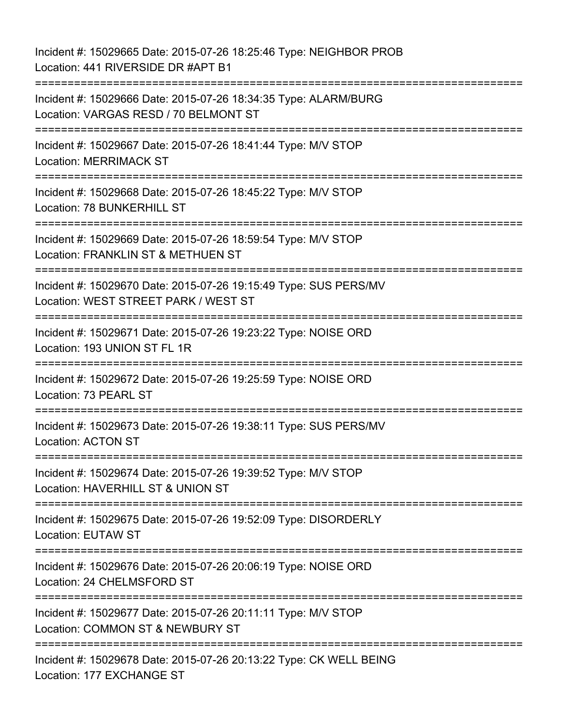Incident #: 15029665 Date: 2015-07-26 18:25:46 Type: NEIGHBOR PROB Location: 441 RIVERSIDE DR #APT B1 =========================================================================== Incident #: 15029666 Date: 2015-07-26 18:34:35 Type: ALARM/BURG Location: VARGAS RESD / 70 BELMONT ST =========================================================================== Incident #: 15029667 Date: 2015-07-26 18:41:44 Type: M/V STOP Location: MERRIMACK ST =========================================================================== Incident #: 15029668 Date: 2015-07-26 18:45:22 Type: M/V STOP Location: 78 BUNKERHILL ST =========================================================================== Incident #: 15029669 Date: 2015-07-26 18:59:54 Type: M/V STOP Location: FRANKLIN ST & METHUEN ST =========================================================================== Incident #: 15029670 Date: 2015-07-26 19:15:49 Type: SUS PERS/MV Location: WEST STREET PARK / WEST ST =========================================================================== Incident #: 15029671 Date: 2015-07-26 19:23:22 Type: NOISE ORD Location: 193 UNION ST FL 1R =========================================================================== Incident #: 15029672 Date: 2015-07-26 19:25:59 Type: NOISE ORD Location: 73 PEARL ST =========================================================================== Incident #: 15029673 Date: 2015-07-26 19:38:11 Type: SUS PERS/MV Location: ACTON ST =========================================================================== Incident #: 15029674 Date: 2015-07-26 19:39:52 Type: M/V STOP Location: HAVERHILL ST & UNION ST =========================================================================== Incident #: 15029675 Date: 2015-07-26 19:52:09 Type: DISORDERLY Location: EUTAW ST =========================================================================== Incident #: 15029676 Date: 2015-07-26 20:06:19 Type: NOISE ORD Location: 24 CHELMSFORD ST =========================================================================== Incident #: 15029677 Date: 2015-07-26 20:11:11 Type: M/V STOP Location: COMMON ST & NEWBURY ST =========================================================================== Incident #: 15029678 Date: 2015-07-26 20:13:22 Type: CK WELL BEING Location: 177 EXCHANGE ST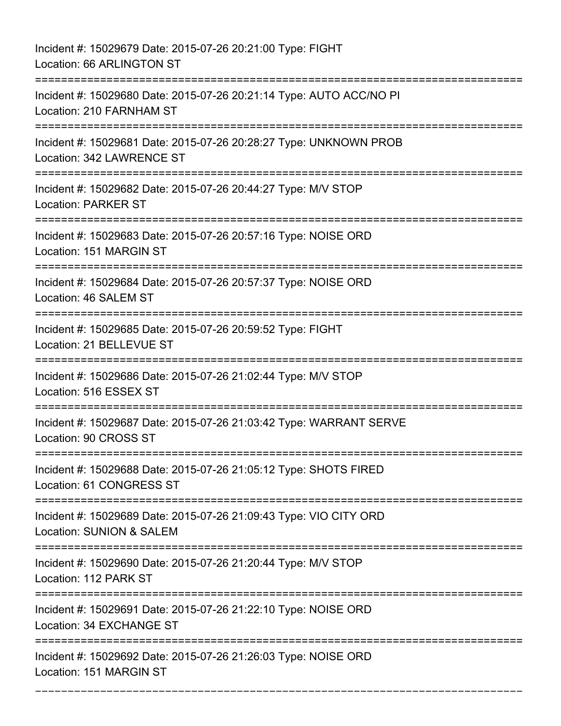Incident #: 15029679 Date: 2015-07-26 20:21:00 Type: FIGHT Location: 66 ARLINGTON ST =========================================================================== Incident #: 15029680 Date: 2015-07-26 20:21:14 Type: AUTO ACC/NO PI Location: 210 FARNHAM ST =========================================================================== Incident #: 15029681 Date: 2015-07-26 20:28:27 Type: UNKNOWN PROB Location: 342 LAWRENCE ST =========================================================================== Incident #: 15029682 Date: 2015-07-26 20:44:27 Type: M/V STOP Location: PARKER ST =========================================================================== Incident #: 15029683 Date: 2015-07-26 20:57:16 Type: NOISE ORD Location: 151 MARGIN ST =========================================================================== Incident #: 15029684 Date: 2015-07-26 20:57:37 Type: NOISE ORD Location: 46 SALEM ST =========================================================================== Incident #: 15029685 Date: 2015-07-26 20:59:52 Type: FIGHT Location: 21 BELLEVUE ST =========================================================================== Incident #: 15029686 Date: 2015-07-26 21:02:44 Type: M/V STOP Location: 516 ESSEX ST =========================================================================== Incident #: 15029687 Date: 2015-07-26 21:03:42 Type: WARRANT SERVE Location: 90 CROSS ST =========================================================================== Incident #: 15029688 Date: 2015-07-26 21:05:12 Type: SHOTS FIRED Location: 61 CONGRESS ST =========================================================================== Incident #: 15029689 Date: 2015-07-26 21:09:43 Type: VIO CITY ORD Location: SUNION & SALEM =========================================================================== Incident #: 15029690 Date: 2015-07-26 21:20:44 Type: M/V STOP Location: 112 PARK ST =========================================================================== Incident #: 15029691 Date: 2015-07-26 21:22:10 Type: NOISE ORD Location: 34 EXCHANGE ST =========================================================================== Incident #: 15029692 Date: 2015-07-26 21:26:03 Type: NOISE ORD Location: 151 MARGIN ST

===========================================================================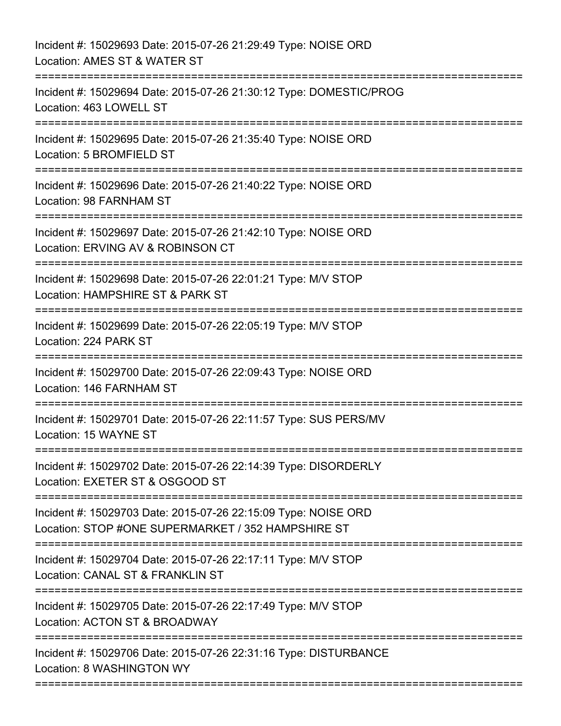| Incident #: 15029693 Date: 2015-07-26 21:29:49 Type: NOISE ORD<br>Location: AMES ST & WATER ST                                 |
|--------------------------------------------------------------------------------------------------------------------------------|
| Incident #: 15029694 Date: 2015-07-26 21:30:12 Type: DOMESTIC/PROG<br>Location: 463 LOWELL ST                                  |
| Incident #: 15029695 Date: 2015-07-26 21:35:40 Type: NOISE ORD<br>Location: 5 BROMFIELD ST                                     |
| Incident #: 15029696 Date: 2015-07-26 21:40:22 Type: NOISE ORD<br>Location: 98 FARNHAM ST                                      |
| Incident #: 15029697 Date: 2015-07-26 21:42:10 Type: NOISE ORD<br>Location: ERVING AV & ROBINSON CT                            |
| Incident #: 15029698 Date: 2015-07-26 22:01:21 Type: M/V STOP<br>Location: HAMPSHIRE ST & PARK ST<br>:======================== |
| Incident #: 15029699 Date: 2015-07-26 22:05:19 Type: M/V STOP<br>Location: 224 PARK ST                                         |
| Incident #: 15029700 Date: 2015-07-26 22:09:43 Type: NOISE ORD<br>Location: 146 FARNHAM ST                                     |
| Incident #: 15029701 Date: 2015-07-26 22:11:57 Type: SUS PERS/MV<br>Location: 15 WAYNE ST                                      |
| Incident #: 15029702 Date: 2015-07-26 22:14:39 Type: DISORDERLY<br>Location: EXETER ST & OSGOOD ST                             |
| Incident #: 15029703 Date: 2015-07-26 22:15:09 Type: NOISE ORD<br>Location: STOP #ONE SUPERMARKET / 352 HAMPSHIRE ST           |
| Incident #: 15029704 Date: 2015-07-26 22:17:11 Type: M/V STOP<br>Location: CANAL ST & FRANKLIN ST                              |
| Incident #: 15029705 Date: 2015-07-26 22:17:49 Type: M/V STOP<br>Location: ACTON ST & BROADWAY                                 |
| Incident #: 15029706 Date: 2015-07-26 22:31:16 Type: DISTURBANCE<br>Location: 8 WASHINGTON WY                                  |
|                                                                                                                                |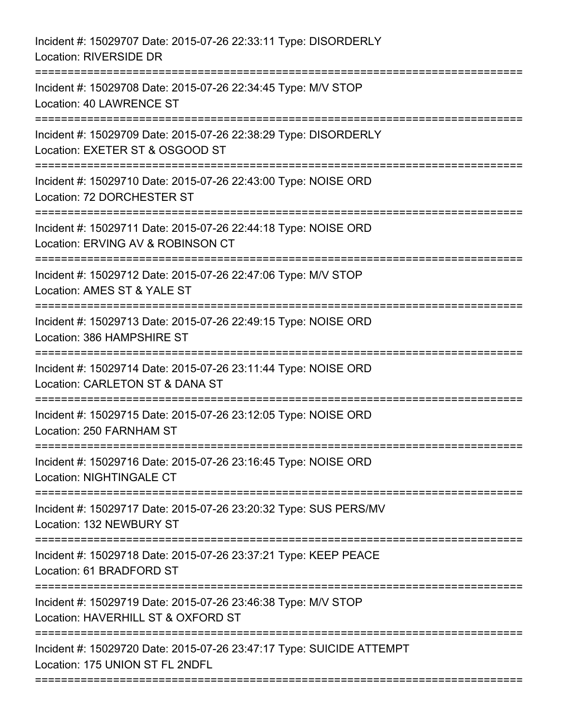| Incident #: 15029707 Date: 2015-07-26 22:33:11 Type: DISORDERLY<br>Location: RIVERSIDE DR                           |
|---------------------------------------------------------------------------------------------------------------------|
| Incident #: 15029708 Date: 2015-07-26 22:34:45 Type: M/V STOP<br><b>Location: 40 LAWRENCE ST</b>                    |
| Incident #: 15029709 Date: 2015-07-26 22:38:29 Type: DISORDERLY<br>Location: EXETER ST & OSGOOD ST                  |
| Incident #: 15029710 Date: 2015-07-26 22:43:00 Type: NOISE ORD<br>Location: 72 DORCHESTER ST<br>---------           |
| Incident #: 15029711 Date: 2015-07-26 22:44:18 Type: NOISE ORD<br>Location: ERVING AV & ROBINSON CT                 |
| Incident #: 15029712 Date: 2015-07-26 22:47:06 Type: M/V STOP<br>Location: AMES ST & YALE ST<br>================    |
| Incident #: 15029713 Date: 2015-07-26 22:49:15 Type: NOISE ORD<br>Location: 386 HAMPSHIRE ST<br>------------------- |
| Incident #: 15029714 Date: 2015-07-26 23:11:44 Type: NOISE ORD<br>Location: CARLETON ST & DANA ST<br>-----------    |
| Incident #: 15029715 Date: 2015-07-26 23:12:05 Type: NOISE ORD<br>Location: 250 FARNHAM ST                          |
| Incident #: 15029716 Date: 2015-07-26 23:16:45 Type: NOISE ORD<br><b>Location: NIGHTINGALE CT</b>                   |
| Incident #: 15029717 Date: 2015-07-26 23:20:32 Type: SUS PERS/MV<br>Location: 132 NEWBURY ST                        |
| Incident #: 15029718 Date: 2015-07-26 23:37:21 Type: KEEP PEACE<br>Location: 61 BRADFORD ST                         |
| Incident #: 15029719 Date: 2015-07-26 23:46:38 Type: M/V STOP<br>Location: HAVERHILL ST & OXFORD ST                 |
| Incident #: 15029720 Date: 2015-07-26 23:47:17 Type: SUICIDE ATTEMPT<br>Location: 175 UNION ST FL 2NDFL             |